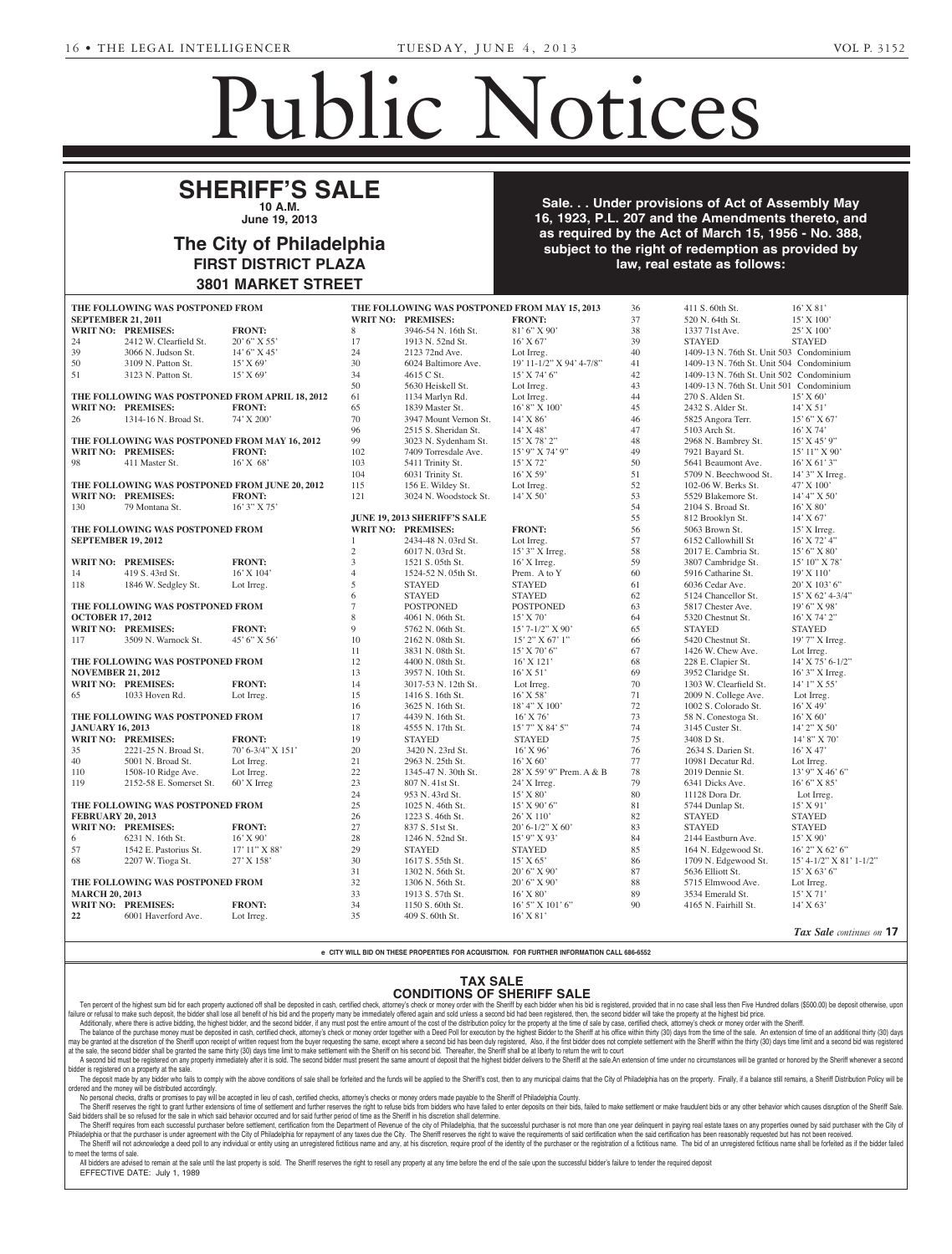**IN RE: ESTATE OF WILLIAM**

# Public Notices

**City of Philadelphia**

# **SHERIFF'S SALE 10 A.M.**  $\overline{\phantom{a}}$  City  $\overline{\phantom{a}}$ **City of Philadelphia**

**June 19, 2013**

### **The City of Philadelphia FIRST DISTRICT PLAZA** And Ordinal Code, entitled "Deferred "Deferred "Deferred "Deferred "Deferred "Deferred "Deferred "Deferred "Deferred "Deferred "Deferred "Deferred "Deferred "Deferred "Deferred "Deferred "Deferred "D testimony on the following items: **by further providing for certain portion of the following for certain portion** portion of  $\mathbf{r}$ **The City of Philadelphia The State of the following items:** The following items: The following items: The following items: The following items: The following items: The following items: The following items: The followin phia will hold a Public Hearing on **in Room 400, City Hall, to hear 400, City Hall, to hear 400, City Hall, the heart 400, City Hall, the heart 400, City Hall, the heart 400, City Hall, the heart 400, City Hall, the heart 400, City Hall, the heart 400, City** philadelphia School District, all under certain terms and conditions.

**Sale. . . Under provisions of Act of Assembly May** 16, 1923, P.L. 207 and the Amendments thereto, and The Committee of the Council of the Council of the Act of March 15, 1956 - No. 388, subject to the right of redemption as provided by law, real estate as follows: **Arrilling No. 1210 Public Hearing Notice**  $\mathbf s$  provided by

| THE FOLLOWING WAS POSTPONED FROM              |                                  |                                                 | THE FOLLOWING WAS POSTPONED FROM MAY 15, 2013 |                              |                          | 36                  | 411 S. 60th St.                          | $16'$ X $81'$                |
|-----------------------------------------------|----------------------------------|-------------------------------------------------|-----------------------------------------------|------------------------------|--------------------------|---------------------|------------------------------------------|------------------------------|
| <b>SEPTEMBER 21, 2011</b>                     |                                  |                                                 |                                               | WRIT NO: PREMISES:           | <b>FRONT:</b>            | 37                  | 520 N. 64th St.                          | $15'$ X $100'$               |
|                                               | <b>WRIT NO: PREMISES:</b>        | <b>FRONT:</b>                                   | 8                                             | 3946-54 N. 16th St.          | 81' 6" X 90'             | 38                  | 1337 71st Ave.                           | $25'$ X $100'$               |
| 24                                            | 2412 W. Clearfield St.           | $20'6''$ X 55'                                  | 17                                            | 1913 N. 52nd St.             | $16'$ X 67'              | 39                  | <b>STAYED</b>                            | <b>STAYED</b>                |
| 39                                            | 3066 N. Judson St.               | 14' 6'' X 45'                                   | 24                                            | 2123 72nd Ave.               | Lot Irreg.               | 40                  | 1409-13 N. 76th St. Unit 503 Condominium |                              |
| 50                                            | 3109 N. Patton St.               | $15'$ X 69'                                     | 30                                            | 6024 Baltimore Ave.          | 19' 11-1/2" X 94' 4-7/8" | 41                  | 1409-13 N. 76th St. Unit 504 Condominium |                              |
| 51                                            | 3123 N. Patton St.               | $15'$ X 69'                                     | 34                                            | 4615 C St.                   | $15'$ X 74' 6"           | 42                  | 1409-13 N. 76th St. Unit 502 Condominium |                              |
|                                               |                                  |                                                 | 50                                            | 5630 Heiskell St.            | Lot Irreg.               | 43                  | 1409-13 N. 76th St. Unit 501 Condominium |                              |
|                                               |                                  | THE FOLLOWING WAS POSTPONED FROM APRIL 18, 2012 | 61                                            | 1134 Marlyn Rd.              | Lot Irreg.               | 44                  | 270 S. Alden St.                         | $15'$ X 60'                  |
|                                               | <b>WRIT NO: PREMISES:</b>        | <b>FRONT:</b>                                   | 65                                            | 1839 Master St.              | $16'8''$ X $100'$        | 45                  | 2432 S. Alder St.                        | $14'$ X 51'                  |
| 26                                            | 1314-16 N. Broad St.             | 74' X 200'                                      | 70                                            | 3947 Mount Vernon St.        | $14'$ X 86'              | 46                  | 5825 Angora Terr.                        | 15' 6''  X 67'               |
|                                               |                                  |                                                 | 96                                            | 2515 S. Sheridan St.         | $14'$ X 48'              | 47                  | 5103 Arch St.                            | $16'$ X 74'                  |
| THE FOLLOWING WAS POSTPONED FROM MAY 16, 2012 |                                  | 99                                              | 3023 N. Sydenham St.                          | 15' X 78' 2"                 | 48                       | 2968 N. Bambrey St. | 15' X 45' 9''                            |                              |
|                                               | WRIT NO: PREMISES:               | <b>FRONT:</b>                                   | 102                                           | 7409 Torresdale Ave.         | 15' 9" X 74' 9"          | 49                  | 7921 Bayard St.                          | 15' 11" X 90'                |
| 98                                            | 411 Master St.                   | $16'$ X 68'                                     | 103                                           | 5411 Trinity St.             | $15'$ X 72'              | 50                  | 5641 Beaumont Ave.                       | $16'$ X 61' 3"               |
|                                               |                                  |                                                 | 104                                           | 6031 Trinity St.             | $16'$ X 59'              | 51                  | 5709 N. Beechwood St.                    | 14' 3" X Irreg.              |
|                                               |                                  | THE FOLLOWING WAS POSTPONED FROM JUNE 20, 2012  | 115                                           | 156 E. Wildey St.            | Lot Irreg.               | 52                  | 102-06 W. Berks St.                      | 47' X 100'                   |
|                                               | <b>WRIT NO: PREMISES:</b>        | <b>FRONT:</b>                                   | 121                                           | 3024 N. Woodstock St.        | $14'$ X 50'              | 53                  | 5529 Blakemore St.                       | 14' 4'' X 50'                |
| 130                                           |                                  |                                                 |                                               |                              |                          | 54                  |                                          |                              |
|                                               | 79 Montana St.                   | $16'$ 3" X 75"                                  |                                               | JUNE 19, 2013 SHERIFF'S SALE |                          |                     | 2104 S. Broad St.                        | $16'$ X 80'                  |
|                                               |                                  |                                                 |                                               |                              |                          | 55                  | 812 Brooklyn St.                         | $14'$ X 67'                  |
|                                               | THE FOLLOWING WAS POSTPONED FROM |                                                 |                                               | WRIT NO: PREMISES:           | <b>FRONT:</b>            | 56                  | 5063 Brown St.                           | $15'$ X Irreg.               |
| <b>SEPTEMBER 19, 2012</b>                     |                                  |                                                 |                                               | 2434-48 N. 03rd St.          | Lot Irreg.               | 57                  | 6152 Callowhill St                       | 16' X 72' 4"                 |
|                                               |                                  |                                                 | 2                                             | 6017 N. 03rd St.             | 15' 3" X Irreg.          | 58                  | 2017 E. Cambria St.                      | 15' 6" X 80'                 |
|                                               | <b>WRIT NO: PREMISES:</b>        | <b>FRONT:</b>                                   | 3                                             | 1521 S. 05th St.             | $16'$ X Irreg.           | 59                  | 3807 Cambridge St.                       | 15' 10'' X 78'               |
| 14                                            | 419 S. 43rd St.                  | 16' X 104'                                      | $\overline{4}$                                | 1524-52 N. 05th St.          | Prem. A to Y             | 60                  | 5916 Catharine St.                       | 19'X110'                     |
| 118                                           | 1846 W. Sedgley St.              | Lot Irreg.                                      | 5                                             | <b>STAYED</b>                | <b>STAYED</b>            | 61                  | 6036 Cedar Ave.                          | $20'$ X $103'$ 6"            |
|                                               |                                  |                                                 | 6                                             | <b>STAYED</b>                | <b>STAYED</b>            | 62                  | 5124 Chancellor St.                      | $15'$ X 62' 4-3/4"           |
|                                               | THE FOLLOWING WAS POSTPONED FROM |                                                 | 7                                             | <b>POSTPONED</b>             | <b>POSTPONED</b>         | 63                  | 5817 Chester Ave.                        | $19'6''$ X 98'               |
| <b>OCTOBER 17, 2012</b>                       |                                  |                                                 | 8                                             | 4061 N. 06th St.             | $15'$ X 70'              | 64                  | 5320 Chestnut St.                        | 16' X 74' 2"                 |
|                                               | <b>WRIT NO: PREMISES:</b>        | <b>FRONT:</b>                                   | 9                                             | 5762 N. 06th St.             | $15'$ 7- $1/2''$ X 90'   | 65                  | <b>STAYED</b>                            | <b>STAYED</b>                |
| 117                                           | 3509 N. Warnock St.              | $45'$ 6" X 56"                                  | 10                                            | 2162 N. 08th St.             | 15' 2" X 67' 1"          | 66                  | 5420 Chestnut St.                        | $19'$ 7" X Irreg.            |
|                                               |                                  |                                                 | 11                                            | 3831 N. 08th St.             | $15'$ X 70' 6"           | 67                  | 1426 W. Chew Ave.                        | Lot Irreg.                   |
|                                               | THE FOLLOWING WAS POSTPONED FROM |                                                 | 12                                            | 4400 N. 08th St.             | $16'$ X $121'$           | 68                  | 228 E. Clapier St.                       | $14'$ X 75' 6-1/2"           |
| <b>NOVEMBER 21, 2012</b>                      |                                  |                                                 | 13                                            | 3957 N. 10th St.             | $16'$ X 51'              | 69                  | 3952 Claridge St.                        | 16' 3" X Irreg.              |
|                                               | <b>WRIT NO: PREMISES:</b>        | <b>FRONT:</b>                                   | 14                                            | 3017-53 N. 12th St.          | Lot Irreg.               | 70                  | 1303 W. Clearfield St.                   | 14' 1" X 55'                 |
| 65                                            | 1033 Hoven Rd.                   | Lot Irreg.                                      | 15                                            | 1416 S. 16th St.             | $16'$ X 58'              | 71                  | 2009 N. College Ave.                     | Lot Irreg.                   |
|                                               |                                  |                                                 | 16                                            | 3625 N. 16th St.             | 18' 4" X 100'            | 72                  | 1002 S. Colorado St.                     | $16'$ X 49'                  |
|                                               | THE FOLLOWING WAS POSTPONED FROM |                                                 | 17                                            | 4439 N. 16th St.             | $16'$ X 76'              | 73                  | 58 N. Conestoga St.                      | $16'$ X 60'                  |
| <b>JANUARY 16, 2013</b>                       |                                  |                                                 | 18                                            | 4555 N. 17th St.             | 15' 7" X 84' 5"          | 74                  | 3145 Custer St.                          | 14' 2" X 50'                 |
|                                               | <b>WRIT NO: PREMISES:</b>        | <b>FRONT:</b>                                   | 19                                            | <b>STAYED</b>                | <b>STAYED</b>            | 75                  | 3408 D St.                               | $14'8''$ X 70'               |
| 35                                            | 2221-25 N. Broad St.             | 70' 6-3/4" X 151'                               | 20                                            | 3420 N. 23rd St.             | $16'$ X 96'              | 76                  | 2634 S. Darien St.                       | $16'$ X 47'                  |
| 40                                            | 5001 N. Broad St.                | Lot Irreg.                                      | 21                                            | 2963 N. 25th St.             | $16'$ X 60'              | 77                  | 10981 Decatur Rd.                        | Lot Irreg.                   |
|                                               |                                  |                                                 |                                               | 1345-47 N. 30th St.          |                          |                     |                                          | $13'$ 9" X 46' 6"            |
| 110                                           | 1508-10 Ridge Ave.               | Lot Irreg.                                      | 22                                            |                              | 28' X 59' 9" Prem. A & B | 78                  | 2019 Dennie St.                          |                              |
| 119                                           | 2152-58 E. Somerset St.          | 60' X Irreg                                     | 23                                            | 807 N. 41st St.              | $24'$ X Irreg.           | 79                  | 6341 Dicks Ave.                          | 16' 6''  X 85'               |
|                                               |                                  |                                                 | 24                                            | 953 N. 43rd St.              | $15'$ X 80'              | 80                  | 11128 Dora Dr.                           | Lot Irreg.                   |
| THE FOLLOWING WAS POSTPONED FROM              |                                  |                                                 | 25                                            | 1025 N. 46th St.             | 15' X 90' 6"             | 81                  | 5744 Dunlap St.                          | $15'$ X 91'                  |
| <b>FEBRUARY 20, 2013</b>                      |                                  |                                                 | 26                                            | 1223 S. 46th St.             | 26' X 110'               | 82                  | <b>STAYED</b>                            | <b>STAYED</b>                |
|                                               | WRIT NO: PREMISES:               | <b>FRONT:</b>                                   | 27                                            | 837 S. 51st St.              | $20' 6 - 1/2''$ X 60'    | 83                  | <b>STAYED</b>                            | <b>STAYED</b>                |
| 6                                             | 6231 N. 16th St.                 | 16' X 90'                                       | 28                                            | 1246 N. 52nd St.             | 15' 9" X 93'             | 84                  | 2144 Eastburn Ave.                       | 15' X 90'                    |
| 57                                            | 1542 E. Pastorius St.            | 17' 11'' X 88'                                  | 29                                            | <b>STAYED</b>                | <b>STAYED</b>            | 85                  | 164 N. Edgewood St.                      | $16'$ 2" X 62' 6"            |
| 68                                            | 2207 W. Tioga St.                | 27' X 158'                                      | 30                                            | 1617 S. 55th St.             | $15'$ X 65'              | 86                  | 1709 N. Edgewood St.                     | $15' 4 - 1/2''$ X 81' 1-1/2" |
|                                               |                                  |                                                 | 31                                            | 1302 N. 56th St.             | 20' 6" X 90'             | 87                  | 5636 Elliott St.                         | $15'$ X 63' 6"               |
| THE FOLLOWING WAS POSTPONED FROM              |                                  |                                                 | 32                                            | 1306 N. 56th St.             | $20'6''$ X 90'           | 88                  | 5715 Elmwood Ave.                        | Lot Irreg.                   |
| <b>MARCH 20, 2013</b>                         |                                  |                                                 | 33                                            | 1913 S. 57th St.             | 16' X 80'                | 89                  | 3534 Emerald St.                         | $15'$ X 71'                  |
|                                               |                                  |                                                 |                                               | 1150 S. 60th St.             | $16'$ 5" X $101'$ 6"     | 90                  | 4165 N. Fairhill St.                     | $14'$ X 63'                  |
| WRIT NO: PREMISES:                            |                                  | <b>FRONT:</b>                                   | 34                                            |                              |                          |                     |                                          |                              |

e CITY WILL BID ON THESE PROPERTIES FOR ACQUISITION. FOR FURTHER INFORMATION CALL 686-6552 **130190** Resolution providing for the approval by the Council of the City of Philadelphia of a Revised Five Year Fi*Tax Sale continues on* **17**

# **TAX SALE CONDITIONS OF SHERIFF SALE**  $TAY \cap AUP$

**CONDIIIONS OF SHERIFF SALE**<br>Ten percent of the highest sum bid for each property auctioned off shall be deposited in cash, certified check, attorney's check or money order with the Sheriff by each bidder when his bid is r failure or refusal to make such deposit, the bidder shall lose all benefit of his bid and the property many be immediately offered again and sold unless a second bid had been registered, then, the second bidder will take t

es with respect to Fiscal Year 2013, which is to be submitted by the Mayor to the Pennsylvania Intergovernmental

re or rerusal to make such deposit, the bidder shall lose all denent of nis ord and the property many be immediately onered again and sold unless a second bid nad been registered, then, the second bidder will take the prop

The balance of the purchase money must be deposited in cash, certified check, attorney's check or money order together with a Deed Poll for execution by the highest Bidder to the Sheriff at his office within thirty (30) da he graphed at the discretion of the Sheriff upon receipt of written request from the buyer requesting the same, except where a second bid has been duly registered. Also if the first bidder does not complete settlement with at the sale, the second bidder shall be granted the same thirty (30) days time limit to make settlement with the Sheriff on his second bid. Thereafter, the Sheriff shall be at liberty to return the writ to court A second bid must be registered on any property immediately after it is sold. The second bidder must present the same amount of deposit that the highest bidder delivers to the Sheriff at the sale. An extension of time unde

bidder is registered on a property at the sale. er is registered on a property at the sale.<br>The deposit made by any bidder who fails to comply with the above conditions of sale shall be forfeited and the funds will be applied to the Sheriff's cost, then to any municipal

ordered and the money will be distributed accordingly. No personal checks, drafts or promises to pay will be accepted in lieu of cash, certified checks, attorney's checks or money orders made payable to the Sheriff of Philadelphia County. **IC** property. I many,

The Sheriff reserves the right to grant further extensions of time of settlement and further reserves the right to refuse bids from bidders who have failed to enter deposits on their bids, failed to make settlement or make

5-31-1\*

Said bidders shall be so refused for the sale in which said behavior occurred and for said further period of time as the Sheriff in his discretion shall determine. The Sheriff requires from each successful purchaser before settlement, certification from the Department of Revenue of the city of Philadelphia, that the successful purchaser is not more than one year delinquent in paying

Philadelphia or that the purchaser is under agreement with the City of Philadelphia for repayment of any taxes due the City. The Sheriff reserves the right to waive the requirements of said certification when the said cert The Sheriff will not acknowledge a deed poll to any individual or entity using an unregistered fictitious name and any, at his discretion, require proof of the identity of the purchaser or the registration of a fictitious to meet the terms of sale.

All bidders are advised to remain at the sale until the last property is sold. The Sheriff reserves the right to resell any property at any time before the end of the sale upon the successful bidder's failure to tender the EFFECTIVE DATE: July 1, 1989